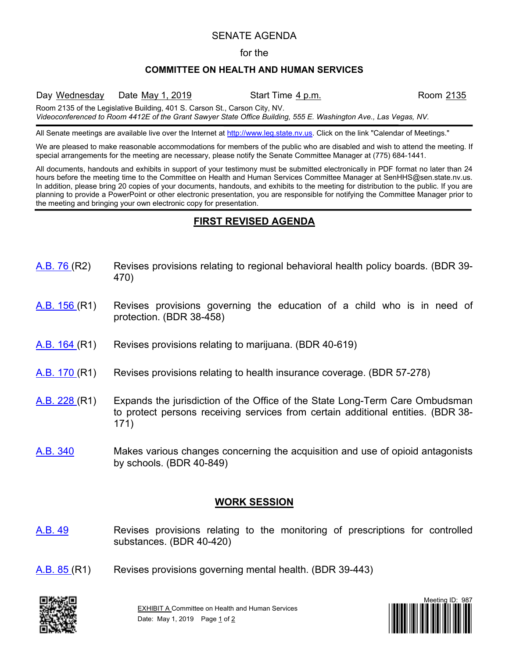### SENATE AGENDA

#### for the

### **COMMITTEE ON HEALTH AND HUMAN SERVICES**

Day Wednesday Date May 1, 2019 Start Time 4 p.m. Room 2135 Room 2135 of the Legislative Building, 401 S. Carson St., Carson City, NV.

*Videoconferenced to Room 4412E of the Grant Sawyer State Office Building, 555 E. Washington Ave., Las Vegas, NV.*

All Senate meetings are available live over the Internet at [http://www.leg.state.nv.us.](http://www.leg.state.nv.us/) Click on the link "Calendar of Meetings."

We are pleased to make reasonable accommodations for members of the public who are disabled and wish to attend the meeting. If special arrangements for the meeting are necessary, please notify the Senate Committee Manager at (775) 684-1441.

All documents, handouts and exhibits in support of your testimony must be submitted electronically in PDF format no later than 24 hours before the meeting time to the Committee on Health and Human Services Committee Manager at SenHHS@sen.state.nv.us. In addition, please bring 20 copies of your documents, handouts, and exhibits to the meeting for distribution to the public. If you are planning to provide a PowerPoint or other electronic presentation, you are responsible for notifying the Committee Manager prior to the meeting and bringing your own electronic copy for presentation.

# **FIRST REVISED AGENDA**

- [A.B.](https://www.leg.state.nv.us/App/NELIS/REL/80th2019/Bill/6019/Overview/) 76 (R2) Revises provisions relating to regional behavioral health policy boards. (BDR 39-470)
- [A.B.](https://www.leg.state.nv.us/App/NELIS/REL/80th2019/Bill/6242/Overview/) 156 (R1) Revises provisions governing the education of a child who is in need of protection. (BDR 38-458)
- [A.B.](https://www.leg.state.nv.us/App/NELIS/REL/80th2019/Bill/6250/Overview/) 164 (R1) Revises provisions relating to marijuana. (BDR 40-619)
- [A.B.](https://www.leg.state.nv.us/App/NELIS/REL/80th2019/Bill/6259/Overview/) 170 (R1) Revises provisions relating to health insurance coverage. (BDR 57-278)
- [A.B.](https://www.leg.state.nv.us/App/NELIS/REL/80th2019/Bill/6398/Overview/) 228 (R1) Expands the jurisdiction of the Office of the State Long-Term Care Ombudsman to protect persons receiving services from certain additional entities. (BDR 38-171)
- [A.B.](https://www.leg.state.nv.us/App/NELIS/REL/80th2019/Bill/6632/Overview/) 340 Makes various changes concerning the acquisition and use of opioid antagonists by schools. (BDR 40-849)

## **WORK SESSION**

- [A.B.](https://www.leg.state.nv.us/App/NELIS/REL/80th2019/Bill/5949/Overview/) 49 Revises provisions relating to the monitoring of prescriptions for controlled substances. (BDR 40-420)
- [A.B.](https://www.leg.state.nv.us/App/NELIS/REL/80th2019/Bill/6041/Overview/) 85 (R1) Revises provisions governing mental health. (BDR 39-443)